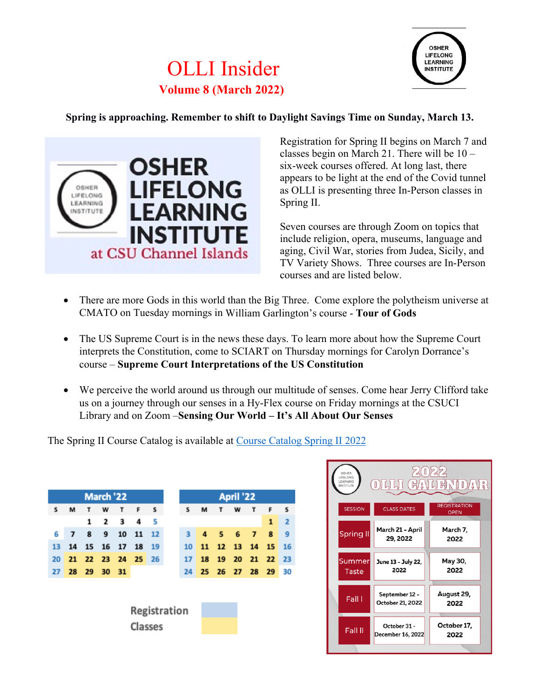# OLLI Insider **Volume 8 (March 2022)**



**Spring is approaching. Remember to shift to Daylight Savings Time on Sunday, March 13.** 



Registration for Spring II begins on March 7 and classes begin on March 21. There will be 10 – six-week courses offered. At long last, there appears to be light at the end of the Covid tunnel as OLLI is presenting three In-Person classes in Spring II.

Seven courses are through Zoom on topics that include religion, opera, museums, language and aging, Civil War, stories from Judea, Sicily, and TV Variety Shows. Three courses are In-Person courses and are listed below.

- There are more Gods in this world than the Big Three. Come explore the polytheism universe at CMATO on Tuesday mornings in William Garlington's course - **Tour of Gods**
- The US Supreme Court is in the news these days. To learn more about how the Supreme Court interprets the Constitution, come to SCIART on Thursday mornings for Carolyn Dorrance's course – **Supreme Court Interpretations of the US Constitution**
- We perceive the world around us through our multitude of senses. Come hear Jerry Clifford take us on a journey through our senses in a Hy-Flex course on Friday mornings at the CSUCI Library and on Zoom –**Sensing Our World – It's All About Our Senses**

The Spring II Course Catalog is available at [Course Catalog Spring II 2022](https://ext.csuci.edu/programs/professional-community-ed/osher-lifelong-learning-institute/osherspring2-2022catalogfinal.pdf)

| March '22    |    |    |          |      |             |    | April '22 |    |    |    |    |          |    |    |
|--------------|----|----|----------|------|-------------|----|-----------|----|----|----|----|----------|----|----|
| s            | м  | т  | w        | т    | F           | s  |           | S  | M  |    | w  | т        | F  |    |
|              |    | 1  | 2        | 3    | 4           | 5  |           |    |    |    |    |          | 1  |    |
| 6            | 7  | 8  | 9        | 10   | 11          | 12 |           | з  | 4  | 5  | 6  | 7        | 8  |    |
| 13           | 14 |    | 15 16 17 |      | 18          | 19 |           | 10 | 11 | 12 | 13 | 14       | 15 | 16 |
| 20           | 21 |    |          |      | 22 23 24 25 | 26 |           | 17 | 18 | 19 |    | 20 21 22 |    | 23 |
| 27           | 28 | 29 | 30       | - 31 |             |    |           | 24 | 25 | 26 |    | 27 28    | 29 | 30 |
|              |    |    |          |      |             |    |           |    |    |    |    |          |    |    |
|              |    |    |          |      |             |    |           |    |    |    |    |          |    |    |
| Registration |    |    |          |      |             |    |           |    |    |    |    |          |    |    |
|              |    |    |          |      |             |    |           |    |    |    |    |          |    |    |
|              |    |    |          |      | Classes     |    |           |    |    |    |    |          |    |    |
|              |    |    |          |      |             |    |           |    |    |    |    |          |    |    |

| OSHER<br>LIFELONG<br>LEARNING<br>$(G/\sqrt{N})$<br>$[0][\zeta][\zeta]$<br>/ ≜<br>$\bigcup_{n=1}^{n}$<br>NSTITUTE |                                    |                                    |  |  |  |  |  |  |  |
|------------------------------------------------------------------------------------------------------------------|------------------------------------|------------------------------------|--|--|--|--|--|--|--|
| <b>SESSION</b>                                                                                                   | <b>CLASS DATES</b>                 | <b>REGISTRATION</b><br><b>OPEN</b> |  |  |  |  |  |  |  |
| <b>Spring II</b>                                                                                                 | March 21 - April<br>29, 2022       | March 7,<br>2022                   |  |  |  |  |  |  |  |
| Summer<br>Taste                                                                                                  | June 13 - July 22,<br>2022         | May 30,<br>2022                    |  |  |  |  |  |  |  |
| Fall I                                                                                                           | September 12 -<br>October 21, 2022 | August 29,<br>2022                 |  |  |  |  |  |  |  |
| Fall II                                                                                                          | October 31 -<br>December 16, 2022  | October 17,<br>2022                |  |  |  |  |  |  |  |
|                                                                                                                  |                                    |                                    |  |  |  |  |  |  |  |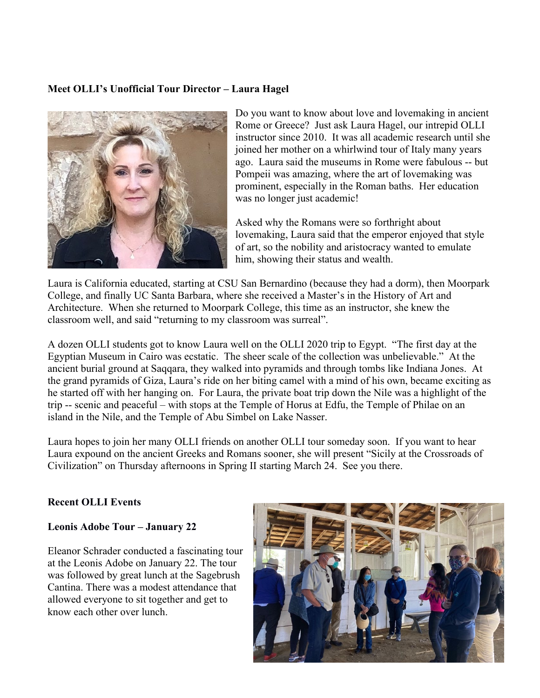## **Meet OLLI's Unofficial Tour Director – Laura Hagel**



Do you want to know about love and lovemaking in ancient Rome or Greece? Just ask Laura Hagel, our intrepid OLLI instructor since 2010. It was all academic research until she joined her mother on a whirlwind tour of Italy many years ago. Laura said the museums in Rome were fabulous -- but Pompeii was amazing, where the art of lovemaking was prominent, especially in the Roman baths. Her education was no longer just academic!

Asked why the Romans were so forthright about lovemaking, Laura said that the emperor enjoyed that style of art, so the nobility and aristocracy wanted to emulate him, showing their status and wealth.

Laura is California educated, starting at CSU San Bernardino (because they had a dorm), then Moorpark College, and finally UC Santa Barbara, where she received a Master's in the History of Art and Architecture. When she returned to Moorpark College, this time as an instructor, she knew the classroom well, and said "returning to my classroom was surreal".

A dozen OLLI students got to know Laura well on the OLLI 2020 trip to Egypt. "The first day at the Egyptian Museum in Cairo was ecstatic. The sheer scale of the collection was unbelievable." At the ancient burial ground at Saqqara, they walked into pyramids and through tombs like Indiana Jones. At the grand pyramids of Giza, Laura's ride on her biting camel with a mind of his own, became exciting as he started off with her hanging on. For Laura, the private boat trip down the Nile was a highlight of the trip -- scenic and peaceful – with stops at the Temple of Horus at Edfu, the Temple of Philae on an island in the Nile, and the Temple of Abu Simbel on Lake Nasser.

Laura hopes to join her many OLLI friends on another OLLI tour someday soon. If you want to hear Laura expound on the ancient Greeks and Romans sooner, she will present "Sicily at the Crossroads of Civilization" on Thursday afternoons in Spring II starting March 24. See you there.

#### **Recent OLLI Events**

#### **Leonis Adobe Tour – January 22**

Eleanor Schrader conducted a fascinating tour at the Leonis Adobe on January 22. The tour was followed by great lunch at the Sagebrush Cantina. There was a modest attendance that allowed everyone to sit together and get to know each other over lunch.